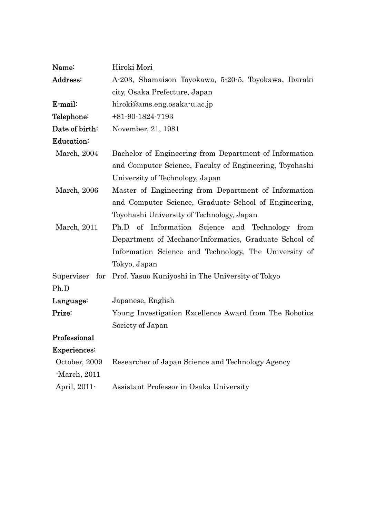| Name:          | Hiroki Mori                                                     |
|----------------|-----------------------------------------------------------------|
| Address:       | A-203, Shamaison Toyokawa, 5-20-5, Toyokawa, Ibaraki            |
|                | city, Osaka Prefecture, Japan                                   |
| E-mail:        | hiroki@ams.eng.osaka-u.ac.jp                                    |
| Telephone:     | $+81 - 90 - 1824 - 7193$                                        |
| Date of birth: | November, 21, 1981                                              |
| Education:     |                                                                 |
| March, 2004    | Bachelor of Engineering from Department of Information          |
|                | and Computer Science, Faculty of Engineering, Toyohashi         |
|                | University of Technology, Japan                                 |
| March, 2006    | Master of Engineering from Department of Information            |
|                | and Computer Science, Graduate School of Engineering,           |
|                | Toyohashi University of Technology, Japan                       |
| March, 2011    | Ph.D of Information Science and Technology from                 |
|                | Department of Mechano-Informatics, Graduate School of           |
|                | Information Science and Technology, The University of           |
|                | Tokyo, Japan                                                    |
|                | Superviser for Prof. Yasuo Kuniyoshi in The University of Tokyo |
| Ph.D           |                                                                 |
| Language:      | Japanese, English                                               |
| Prize:         | Young Investigation Excellence Award from The Robotics          |
|                | Society of Japan                                                |
| Professional   |                                                                 |
| Experiences:   |                                                                 |
| October, 2009  | Researcher of Japan Science and Technology Agency               |
| $-March, 2011$ |                                                                 |
| April, 2011-   | Assistant Professor in Osaka University                         |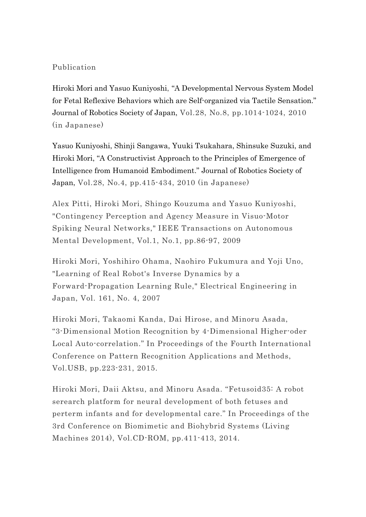## Publication

Hiroki Mori and Yasuo Kuniyoshi, "A Developmental Nervous System Model for Fetal Reflexive Behaviors which are Self-organized via Tactile Sensation." Journal of Robotics Society of Japan, Vol.28, No.8, pp.1014-1024, 2010 (in Japanese)

Yasuo Kuniyoshi, Shinji Sangawa, Yuuki Tsukahara, Shinsuke Suzuki, and Hiroki Mori, "A Constructivist Approach to the Principles of Emergence of Intelligence from Humanoid Embodiment." Journal of Robotics Society of Japan, Vol.28, No.4, pp.415-434, 2010 (in Japanese)

Alex Pitti, Hiroki Mori, Shingo Kouzuma and Yasuo Kuniyoshi, "Contingency Perception and Agency Measure in Visuo-Motor Spiking Neural Networks," IEEE Transactions on Autonomous Mental Development, Vol.1, No.1, pp.86-97, 2009

Hiroki Mori, Yoshihiro Ohama, Naohiro Fukumura and Yoji Uno, "Learning of Real Robot's Inverse Dynamics by a Forward-Propagation Learning Rule," Electrical Engineering in Japan, Vol. 161, No. 4, 2007

Hiroki Mori, Takaomi Kanda, Dai Hirose, and Minoru Asada, "3-Dimensional Motion Recognition by 4-Dimensional Higher-oder Local Auto-correlation." In Proceedings of the Fourth International Conference on Pattern Recognition Applications and Methods, Vol.USB, pp.223-231, 2015.

Hiroki Mori, Daii Aktsu, and Minoru Asada. "Fetusoid35: A robot serearch platform for neural development of both fetuses and perterm infants and for developmental care." In Proceedings of the 3rd Conference on Biomimetic and Biohybrid Systems (Living Machines 2014), Vol.CD-ROM, pp.411-413, 2014.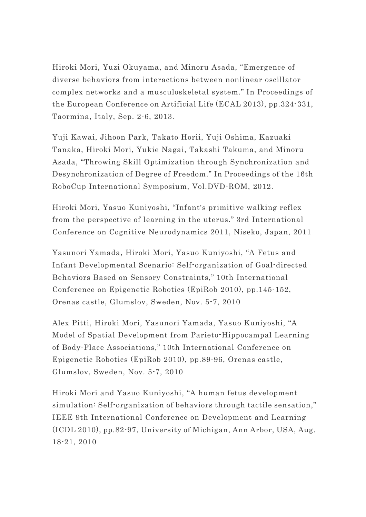Hiroki Mori, Yuzi Okuyama, and Minoru Asada, "Emergence of diverse behaviors from interactions between nonlinear oscillator complex networks and a musculoskeletal system." In Proceedings of the European Conference on Artificial Life (ECAL 2013), pp.324-331, Taormina, Italy, Sep. 2-6, 2013.

Yuji Kawai, Jihoon Park, Takato Horii, Yuji Oshima, Kazuaki Tanaka, Hiroki Mori, Yukie Nagai, Takashi Takuma, and Minoru Asada, "Throwing Skill Optimization through Synchronization and Desynchronization of Degree of Freedom." In Proceedings of the 16th RoboCup International Symposium, Vol.DVD-ROM, 2012.

Hiroki Mori, Yasuo Kuniyoshi, "Infant's primitive walking reflex from the perspective of learning in the uterus." 3rd International Conference on Cognitive Neurodynamics 2011, Niseko, Japan, 2011

Yasunori Yamada, Hiroki Mori, Yasuo Kuniyoshi, "A Fetus and Infant Developmental Scenario: Self-organization of Goal-directed Behaviors Based on Sensory Constraints," 10th International Conference on Epigenetic Robotics (EpiRob 2010), pp.145-152, Orenas castle, Glumslov, Sweden, Nov. 5-7, 2010

Alex Pitti, Hiroki Mori, Yasunori Yamada, Yasuo Kuniyoshi, "A Model of Spatial Development from Parieto-Hippocampal Learning of Body-Place Associations," 10th International Conference on Epigenetic Robotics (EpiRob 2010), pp.89-96, Orenas castle, Glumslov, Sweden, Nov. 5-7, 2010

Hiroki Mori and Yasuo Kuniyoshi, "A human fetus development simulation: Self-organization of behaviors through tactile sensation," IEEE 9th International Conference on Development and Learning (ICDL 2010), pp.82-97, University of Michigan, Ann Arbor, USA, Aug. 18-21, 2010